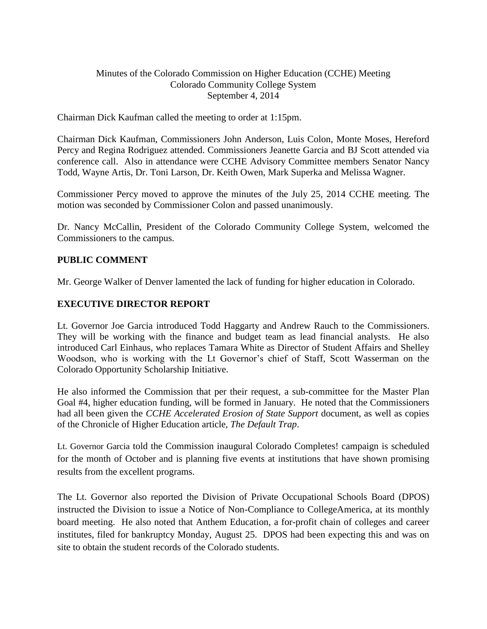## Minutes of the Colorado Commission on Higher Education (CCHE) Meeting Colorado Community College System September 4, 2014

Chairman Dick Kaufman called the meeting to order at 1:15pm.

Chairman Dick Kaufman, Commissioners John Anderson, Luis Colon, Monte Moses, Hereford Percy and Regina Rodriguez attended. Commissioners Jeanette Garcia and BJ Scott attended via conference call. Also in attendance were CCHE Advisory Committee members Senator Nancy Todd, Wayne Artis, Dr. Toni Larson, Dr. Keith Owen, Mark Superka and Melissa Wagner.

Commissioner Percy moved to approve the minutes of the July 25, 2014 CCHE meeting. The motion was seconded by Commissioner Colon and passed unanimously.

Dr. Nancy McCallin, President of the Colorado Community College System, welcomed the Commissioners to the campus.

## **PUBLIC COMMENT**

Mr. George Walker of Denver lamented the lack of funding for higher education in Colorado.

## **EXECUTIVE DIRECTOR REPORT**

Lt. Governor Joe Garcia introduced Todd Haggarty and Andrew Rauch to the Commissioners. They will be working with the finance and budget team as lead financial analysts. He also introduced Carl Einhaus, who replaces Tamara White as Director of Student Affairs and Shelley Woodson, who is working with the Lt Governor's chief of Staff, Scott Wasserman on the Colorado Opportunity Scholarship Initiative.

He also informed the Commission that per their request, a sub-committee for the Master Plan Goal #4, higher education funding, will be formed in January. He noted that the Commissioners had all been given the *CCHE Accelerated Erosion of State Support* document, as well as copies of the Chronicle of Higher Education article, *The Default Trap*.

Lt. Governor Garcia told the Commission inaugural Colorado Completes! campaign is scheduled for the month of October and is planning five events at institutions that have shown promising results from the excellent programs.

The Lt. Governor also reported the Division of Private Occupational Schools Board (DPOS) instructed the Division to issue a Notice of Non-Compliance to CollegeAmerica, at its monthly board meeting. He also noted that Anthem Education, a for-profit chain of colleges and career institutes, filed for bankruptcy Monday, August 25. DPOS had been expecting this and was on site to obtain the student records of the Colorado students.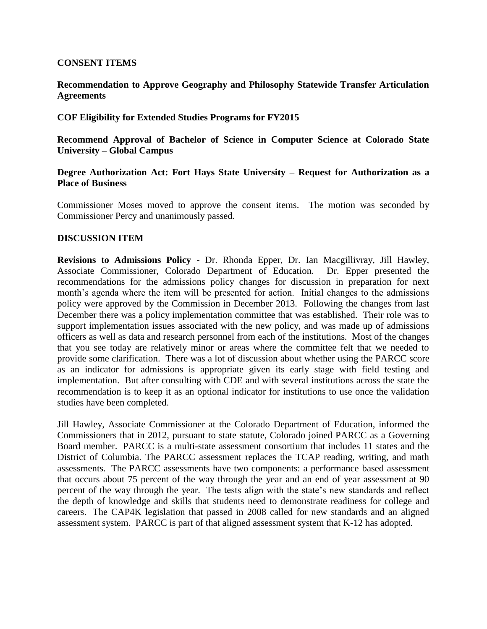#### **CONSENT ITEMS**

### **Recommendation to Approve Geography and Philosophy Statewide Transfer Articulation Agreements**

### **COF Eligibility for Extended Studies Programs for FY2015**

**Recommend Approval of Bachelor of Science in Computer Science at Colorado State University – Global Campus**

#### **Degree Authorization Act: Fort Hays State University – Request for Authorization as a Place of Business**

Commissioner Moses moved to approve the consent items. The motion was seconded by Commissioner Percy and unanimously passed.

#### **DISCUSSION ITEM**

**Revisions to Admissions Policy -** Dr. Rhonda Epper, Dr. Ian Macgillivray, Jill Hawley, Associate Commissioner, Colorado Department of Education. Dr. Epper presented the recommendations for the admissions policy changes for discussion in preparation for next month's agenda where the item will be presented for action. Initial changes to the admissions policy were approved by the Commission in December 2013. Following the changes from last December there was a policy implementation committee that was established. Their role was to support implementation issues associated with the new policy, and was made up of admissions officers as well as data and research personnel from each of the institutions. Most of the changes that you see today are relatively minor or areas where the committee felt that we needed to provide some clarification. There was a lot of discussion about whether using the PARCC score as an indicator for admissions is appropriate given its early stage with field testing and implementation. But after consulting with CDE and with several institutions across the state the recommendation is to keep it as an optional indicator for institutions to use once the validation studies have been completed.

Jill Hawley, Associate Commissioner at the Colorado Department of Education, informed the Commissioners that in 2012, pursuant to state statute, Colorado joined PARCC as a Governing Board member. PARCC is a multi-state assessment consortium that includes 11 states and the District of Columbia. The PARCC assessment replaces the TCAP reading, writing, and math assessments. The PARCC assessments have two components: a performance based assessment that occurs about 75 percent of the way through the year and an end of year assessment at 90 percent of the way through the year. The tests align with the state's new standards and reflect the depth of knowledge and skills that students need to demonstrate readiness for college and careers. The CAP4K legislation that passed in 2008 called for new standards and an aligned assessment system. PARCC is part of that aligned assessment system that K-12 has adopted.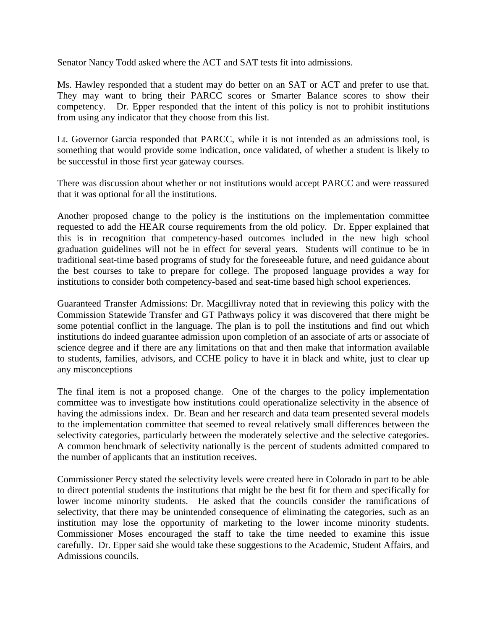Senator Nancy Todd asked where the ACT and SAT tests fit into admissions.

Ms. Hawley responded that a student may do better on an SAT or ACT and prefer to use that. They may want to bring their PARCC scores or Smarter Balance scores to show their competency. Dr. Epper responded that the intent of this policy is not to prohibit institutions from using any indicator that they choose from this list.

Lt. Governor Garcia responded that PARCC, while it is not intended as an admissions tool, is something that would provide some indication, once validated, of whether a student is likely to be successful in those first year gateway courses.

There was discussion about whether or not institutions would accept PARCC and were reassured that it was optional for all the institutions.

Another proposed change to the policy is the institutions on the implementation committee requested to add the HEAR course requirements from the old policy. Dr. Epper explained that this is in recognition that competency-based outcomes included in the new high school graduation guidelines will not be in effect for several years. Students will continue to be in traditional seat-time based programs of study for the foreseeable future, and need guidance about the best courses to take to prepare for college. The proposed language provides a way for institutions to consider both competency-based and seat-time based high school experiences.

Guaranteed Transfer Admissions: Dr. Macgillivray noted that in reviewing this policy with the Commission Statewide Transfer and GT Pathways policy it was discovered that there might be some potential conflict in the language. The plan is to poll the institutions and find out which institutions do indeed guarantee admission upon completion of an associate of arts or associate of science degree and if there are any limitations on that and then make that information available to students, families, advisors, and CCHE policy to have it in black and white, just to clear up any misconceptions

The final item is not a proposed change. One of the charges to the policy implementation committee was to investigate how institutions could operationalize selectivity in the absence of having the admissions index. Dr. Bean and her research and data team presented several models to the implementation committee that seemed to reveal relatively small differences between the selectivity categories, particularly between the moderately selective and the selective categories. A common benchmark of selectivity nationally is the percent of students admitted compared to the number of applicants that an institution receives.

Commissioner Percy stated the selectivity levels were created here in Colorado in part to be able to direct potential students the institutions that might be the best fit for them and specifically for lower income minority students. He asked that the councils consider the ramifications of selectivity, that there may be unintended consequence of eliminating the categories, such as an institution may lose the opportunity of marketing to the lower income minority students. Commissioner Moses encouraged the staff to take the time needed to examine this issue carefully. Dr. Epper said she would take these suggestions to the Academic, Student Affairs, and Admissions councils.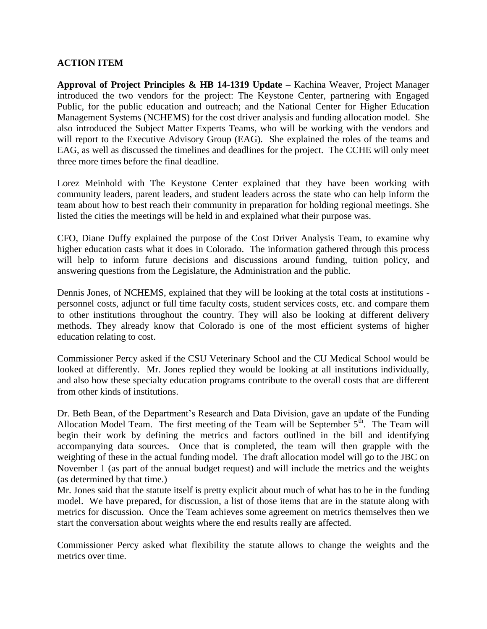# **ACTION ITEM**

**Approval of Project Principles & HB 14-1319 Update –** Kachina Weaver, Project Manager introduced the two vendors for the project: The Keystone Center, partnering with Engaged Public, for the public education and outreach; and the National Center for Higher Education Management Systems (NCHEMS) for the cost driver analysis and funding allocation model. She also introduced the Subject Matter Experts Teams, who will be working with the vendors and will report to the Executive Advisory Group (EAG). She explained the roles of the teams and EAG, as well as discussed the timelines and deadlines for the project. The CCHE will only meet three more times before the final deadline.

Lorez Meinhold with The Keystone Center explained that they have been working with community leaders, parent leaders, and student leaders across the state who can help inform the team about how to best reach their community in preparation for holding regional meetings. She listed the cities the meetings will be held in and explained what their purpose was.

CFO, Diane Duffy explained the purpose of the Cost Driver Analysis Team, to examine why higher education casts what it does in Colorado. The information gathered through this process will help to inform future decisions and discussions around funding, tuition policy, and answering questions from the Legislature, the Administration and the public.

Dennis Jones, of NCHEMS, explained that they will be looking at the total costs at institutions personnel costs, adjunct or full time faculty costs, student services costs, etc. and compare them to other institutions throughout the country. They will also be looking at different delivery methods. They already know that Colorado is one of the most efficient systems of higher education relating to cost.

Commissioner Percy asked if the CSU Veterinary School and the CU Medical School would be looked at differently. Mr. Jones replied they would be looking at all institutions individually, and also how these specialty education programs contribute to the overall costs that are different from other kinds of institutions.

Dr. Beth Bean, of the Department's Research and Data Division, gave an update of the Funding Allocation Model Team. The first meeting of the Team will be September  $5<sup>th</sup>$ . The Team will begin their work by defining the metrics and factors outlined in the bill and identifying accompanying data sources. Once that is completed, the team will then grapple with the weighting of these in the actual funding model. The draft allocation model will go to the JBC on November 1 (as part of the annual budget request) and will include the metrics and the weights (as determined by that time.)

Mr. Jones said that the statute itself is pretty explicit about much of what has to be in the funding model. We have prepared, for discussion, a list of those items that are in the statute along with metrics for discussion. Once the Team achieves some agreement on metrics themselves then we start the conversation about weights where the end results really are affected.

Commissioner Percy asked what flexibility the statute allows to change the weights and the metrics over time.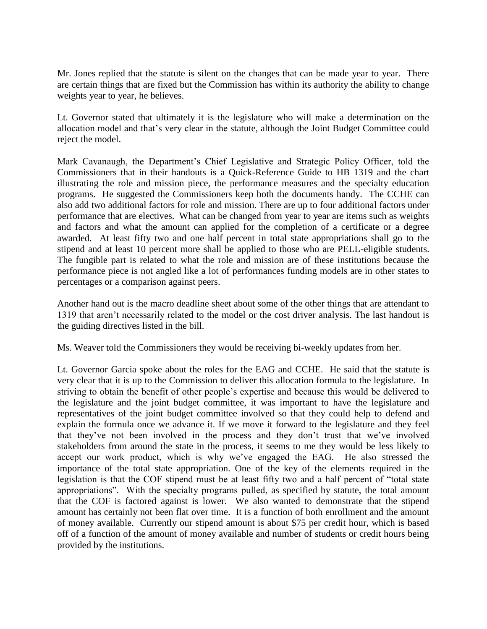Mr. Jones replied that the statute is silent on the changes that can be made year to year. There are certain things that are fixed but the Commission has within its authority the ability to change weights year to year, he believes.

Lt. Governor stated that ultimately it is the legislature who will make a determination on the allocation model and that's very clear in the statute, although the Joint Budget Committee could reject the model.

Mark Cavanaugh, the Department's Chief Legislative and Strategic Policy Officer, told the Commissioners that in their handouts is a Quick-Reference Guide to HB 1319 and the chart illustrating the role and mission piece, the performance measures and the specialty education programs. He suggested the Commissioners keep both the documents handy. The CCHE can also add two additional factors for role and mission. There are up to four additional factors under performance that are electives. What can be changed from year to year are items such as weights and factors and what the amount can applied for the completion of a certificate or a degree awarded. At least fifty two and one half percent in total state appropriations shall go to the stipend and at least 10 percent more shall be applied to those who are PELL-eligible students. The fungible part is related to what the role and mission are of these institutions because the performance piece is not angled like a lot of performances funding models are in other states to percentages or a comparison against peers.

Another hand out is the macro deadline sheet about some of the other things that are attendant to 1319 that aren't necessarily related to the model or the cost driver analysis. The last handout is the guiding directives listed in the bill.

Ms. Weaver told the Commissioners they would be receiving bi-weekly updates from her.

Lt. Governor Garcia spoke about the roles for the EAG and CCHE. He said that the statute is very clear that it is up to the Commission to deliver this allocation formula to the legislature. In striving to obtain the benefit of other people's expertise and because this would be delivered to the legislature and the joint budget committee, it was important to have the legislature and representatives of the joint budget committee involved so that they could help to defend and explain the formula once we advance it. If we move it forward to the legislature and they feel that they've not been involved in the process and they don't trust that we've involved stakeholders from around the state in the process, it seems to me they would be less likely to accept our work product, which is why we've engaged the EAG. He also stressed the importance of the total state appropriation. One of the key of the elements required in the legislation is that the COF stipend must be at least fifty two and a half percent of "total state appropriations". With the specialty programs pulled, as specified by statute, the total amount that the COF is factored against is lower. We also wanted to demonstrate that the stipend amount has certainly not been flat over time. It is a function of both enrollment and the amount of money available. Currently our stipend amount is about \$75 per credit hour, which is based off of a function of the amount of money available and number of students or credit hours being provided by the institutions.